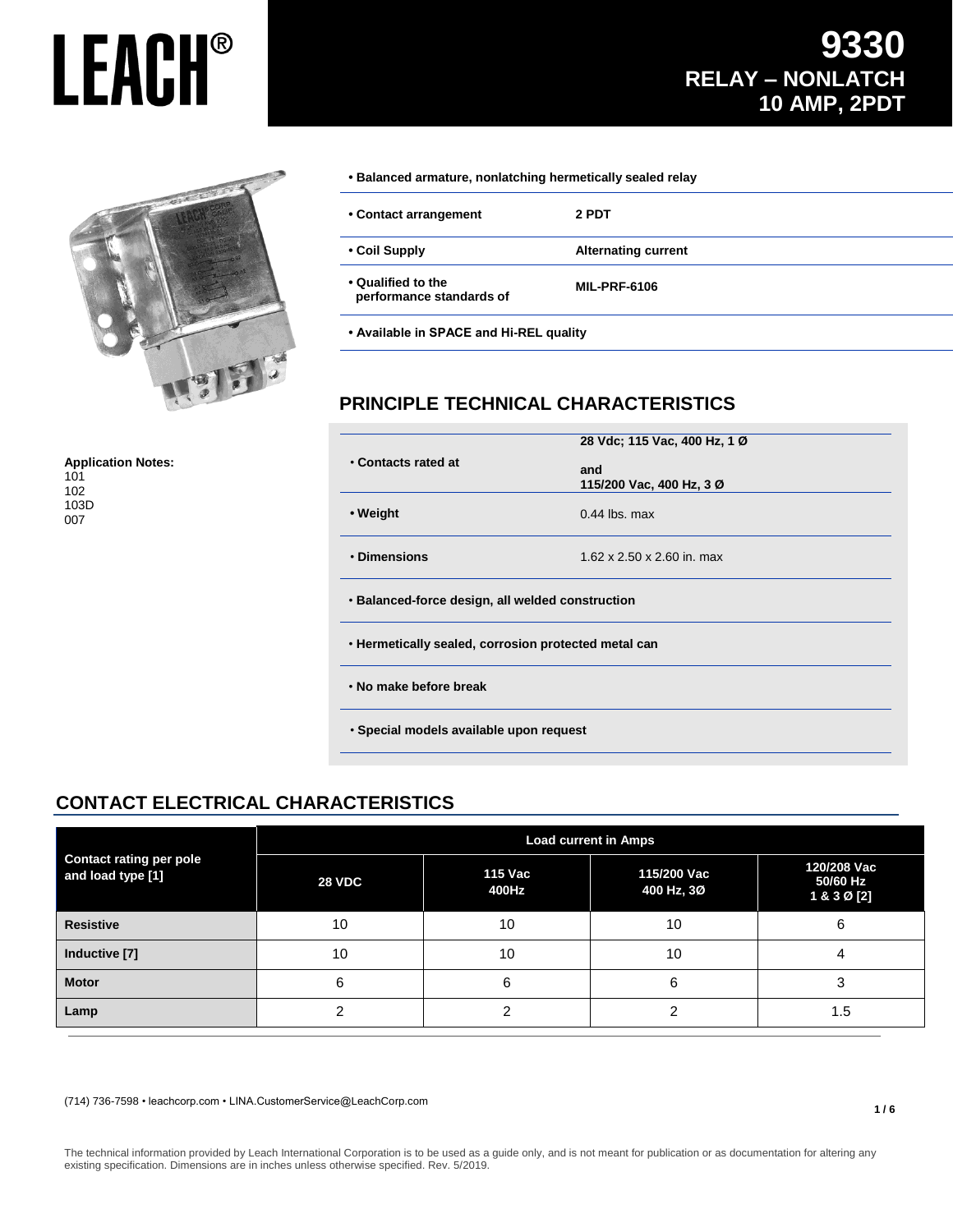

**Application Notes:** 101

102 103D 007

**• Balanced armature, nonlatching hermetically sealed relay**

| • Contact arrangement                          | 2 PDT                      |
|------------------------------------------------|----------------------------|
| • Coil Supply                                  | <b>Alternating current</b> |
| • Qualified to the<br>performance standards of | <b>MIL-PRF-6106</b>        |

**• Available in SPACE and Hi-REL quality**

#### **PRINCIPLE TECHNICAL CHARACTERISTICS**

|                                                      | 28 Vdc; 115 Vac, 400 Hz, 1 Ø           |  |
|------------------------------------------------------|----------------------------------------|--|
| • Contacts rated at                                  | and<br>115/200 Vac, 400 Hz, 3 Ø        |  |
| • Weight                                             | $0.44$ lbs. max                        |  |
| • Dimensions                                         | $1.62 \times 2.50 \times 2.60$ in. max |  |
| • Balanced-force design, all welded construction     |                                        |  |
| . Hermetically sealed, corrosion protected metal can |                                        |  |
| . No make before break                               |                                        |  |
| · Special models available upon request              |                                        |  |

### **CONTACT ELECTRICAL CHARACTERISTICS**

| <b>Contact rating per pole</b><br>and load type [1] | <b>Load current in Amps</b> |                         |                           |                                        |
|-----------------------------------------------------|-----------------------------|-------------------------|---------------------------|----------------------------------------|
|                                                     | <b>28 VDC</b>               | <b>115 Vac</b><br>400Hz | 115/200 Vac<br>400 Hz, 3Ø | 120/208 Vac<br>50/60 Hz<br>1 & 3 Ø [2] |
| <b>Resistive</b>                                    | 10                          | 10                      | 10                        | 6                                      |
| Inductive [7]                                       | 10                          | 10                      | 10                        |                                        |
| <b>Motor</b>                                        | 6                           | 6                       | 6                         |                                        |
| Lamp                                                |                             |                         |                           | 1.5                                    |

(714) 736-7598 • leachcorp.com • LINA.CustomerService@LeachCorp.com

The technical information provided by Leach International Corporation is to be used as a guide only, and is not meant for publication or as documentation for altering any existing specification. Dimensions are in inches unless otherwise specified. Rev. 5/2019.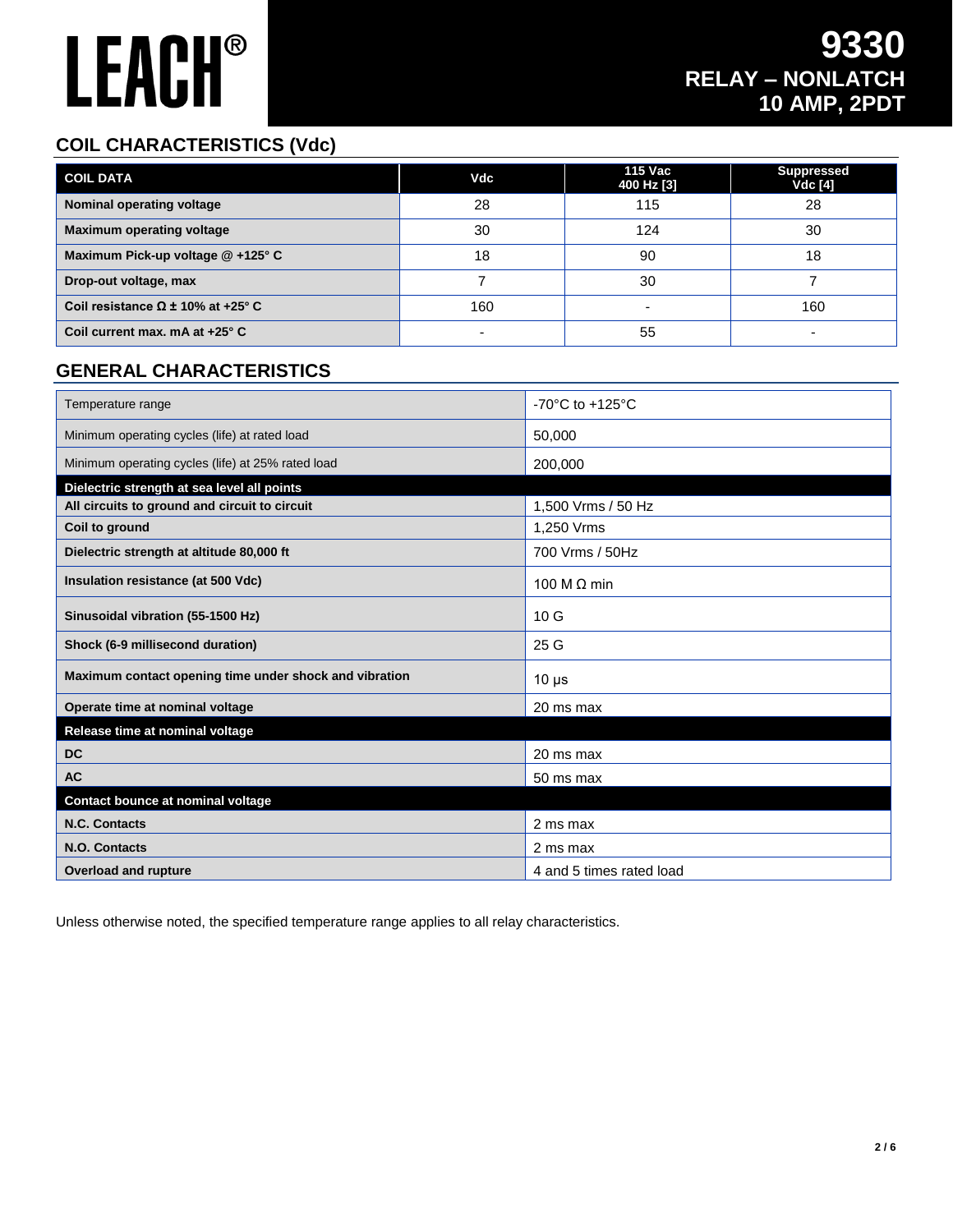#### **COIL CHARACTERISTICS (Vdc)**

| <b>COIL DATA</b>                            | Vdc | 115 Vac<br>400 Hz [3] | <b>Suppressed</b><br><b>Vdc</b> [4] |
|---------------------------------------------|-----|-----------------------|-------------------------------------|
| Nominal operating voltage                   | 28  | 115                   | 28                                  |
| <b>Maximum operating voltage</b>            | 30  | 124                   | 30                                  |
| Maximum Pick-up voltage @ +125° C           | 18  | 90                    | 18                                  |
| Drop-out voltage, max                       |     | 30                    |                                     |
| Coil resistance $\Omega \pm 10\%$ at +25° C | 160 | -                     | 160                                 |
| Coil current max. $mA$ at $+25^\circ$ C     |     | 55                    | -                                   |

#### **GENERAL CHARACTERISTICS**

| Temperature range                                      | $-70^{\circ}$ C to $+125^{\circ}$ C |
|--------------------------------------------------------|-------------------------------------|
| Minimum operating cycles (life) at rated load          | 50,000                              |
| Minimum operating cycles (life) at 25% rated load      | 200,000                             |
| Dielectric strength at sea level all points            |                                     |
| All circuits to ground and circuit to circuit          | 1,500 Vrms / 50 Hz                  |
| Coil to ground                                         | 1,250 Vrms                          |
| Dielectric strength at altitude 80,000 ft              | 700 Vrms / 50Hz                     |
| Insulation resistance (at 500 Vdc)                     | 100 M $\Omega$ min                  |
| Sinusoidal vibration (55-1500 Hz)                      | 10 <sub>G</sub>                     |
| Shock (6-9 millisecond duration)                       | 25 <sub>G</sub>                     |
| Maximum contact opening time under shock and vibration | $10 \mu s$                          |
| Operate time at nominal voltage                        | 20 ms max                           |
| Release time at nominal voltage                        |                                     |
| <b>DC</b>                                              | 20 ms max                           |
| <b>AC</b>                                              | 50 ms max                           |
| Contact bounce at nominal voltage                      |                                     |
| N.C. Contacts                                          | 2 ms max                            |
| N.O. Contacts                                          | 2 ms max                            |
| <b>Overload and rupture</b>                            | 4 and 5 times rated load            |

Unless otherwise noted, the specified temperature range applies to all relay characteristics.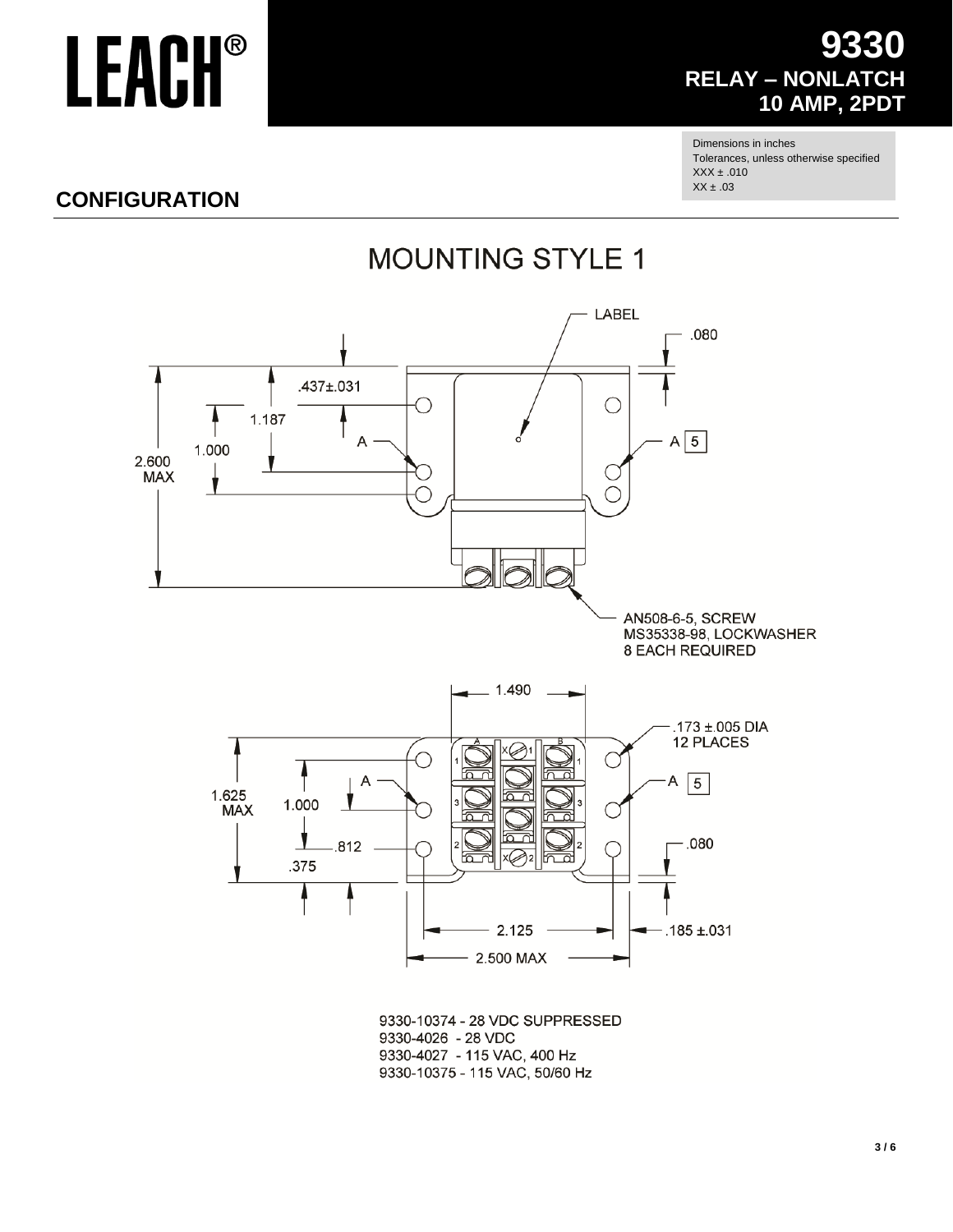### 9330 **RELAY - NONLATCH 10 AMP, 2PDT**

Dimensions in inches Tolerances, unless otherwise specified  $XXX \pm .010$  $XX \pm .03$ 

### **CONFIGURATION**





9330-10374 - 28 VDC SUPPRESSED 9330-4026 - 28 VDC 9330-4027 - 115 VAC, 400 Hz 9330-10375 - 115 VAC, 50/60 Hz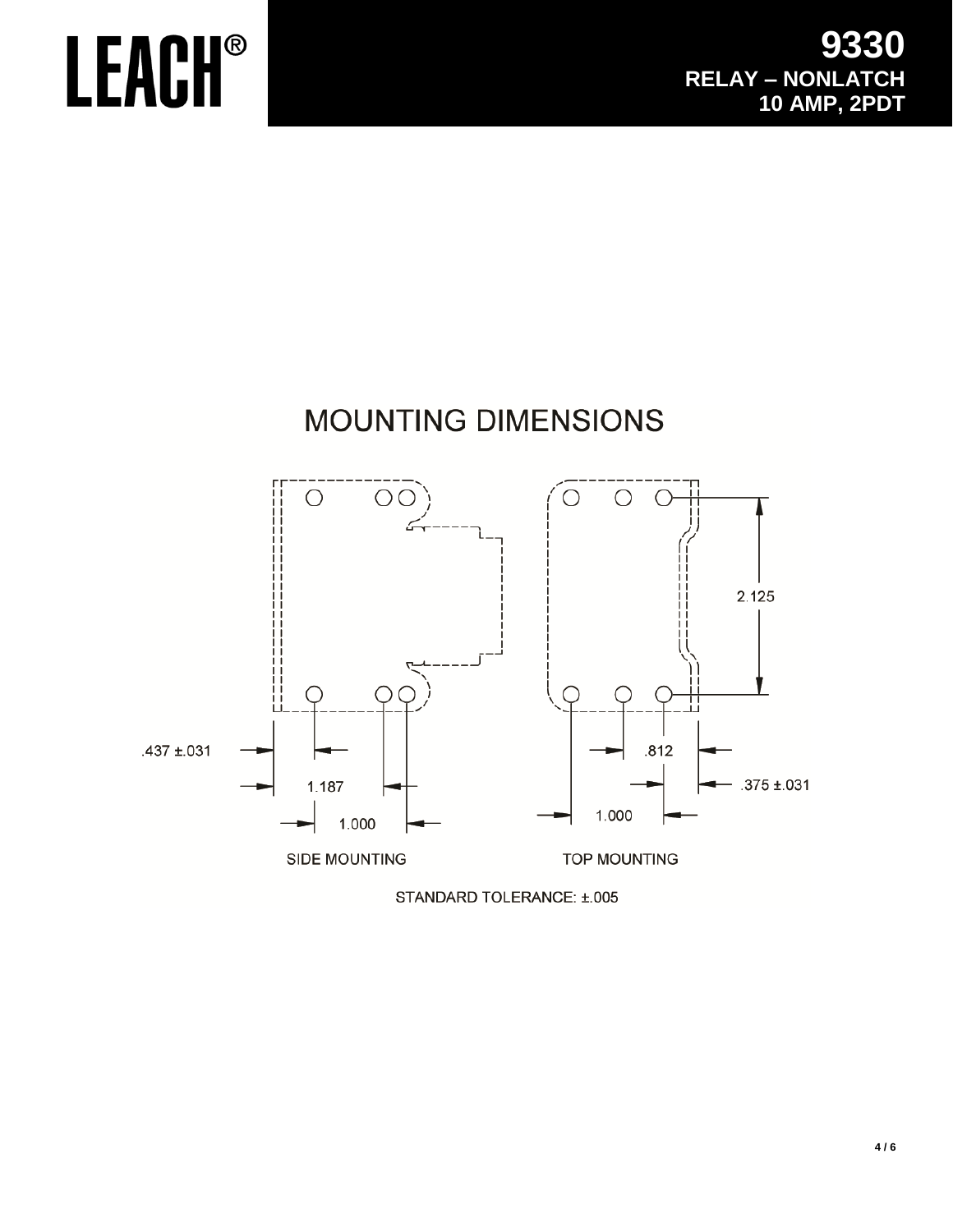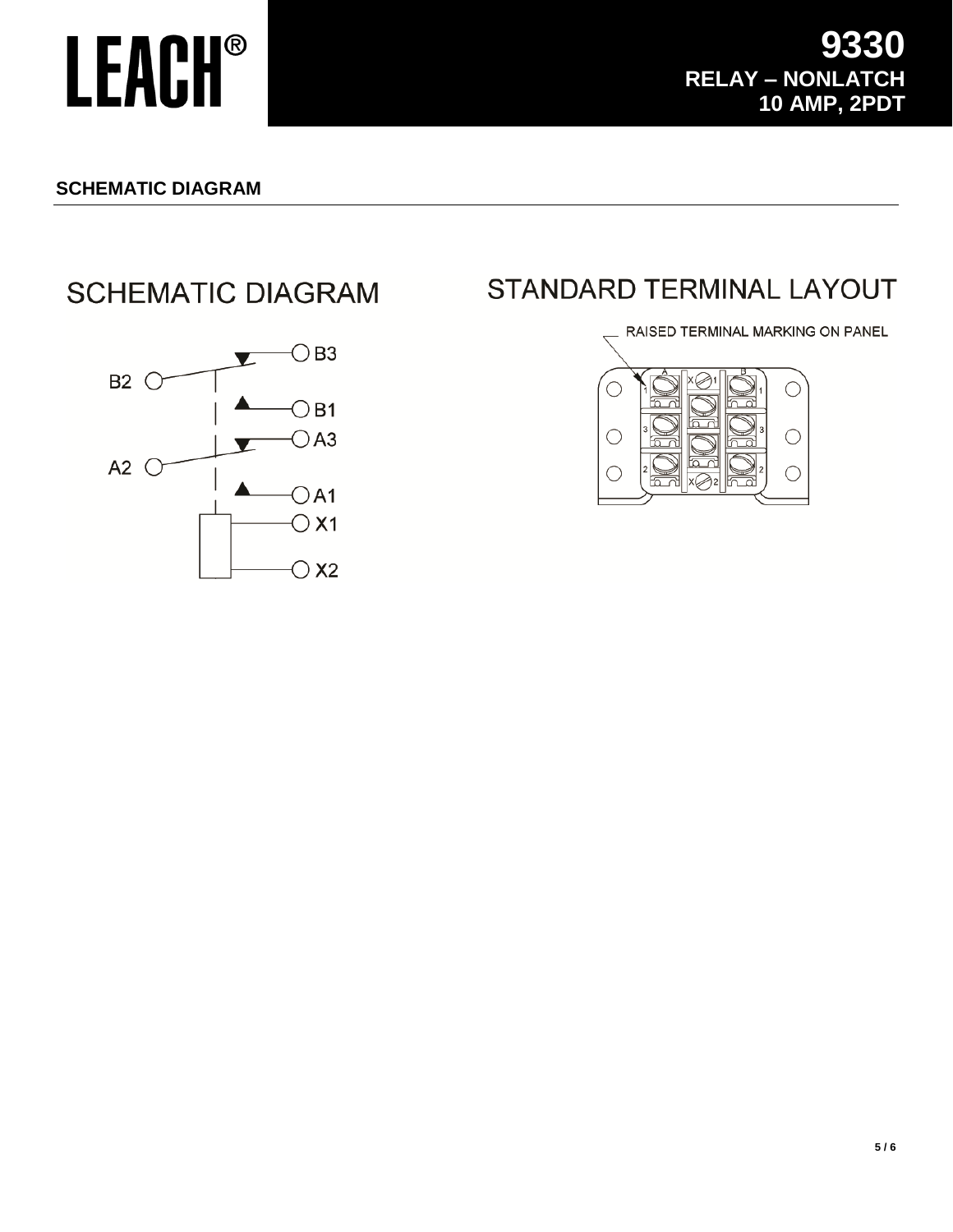#### **SCHEMATIC DIAGRAM**

### **SCHEMATIC DIAGRAM**



### **STANDARD TERMINAL LAYOUT**

RAISED TERMINAL MARKING ON PANEL